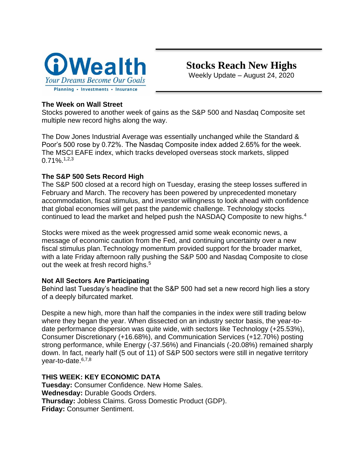

## **The Week on Wall Street**

Stocks powered to another week of gains as the S&P 500 and Nasdaq Composite set multiple new record highs along the way.

The Dow Jones Industrial Average was essentially unchanged while the Standard & Poor's 500 rose by 0.72%. The Nasdaq Composite index added 2.65% for the week. The MSCI EAFE index, which tracks developed overseas stock markets, slipped 0.71%.1,2,3

## **The S&P 500 Sets Record High**

The S&P 500 closed at a record high on Tuesday, erasing the steep losses suffered in February and March. The recovery has been powered by unprecedented monetary accommodation, fiscal stimulus, and investor willingness to look ahead with confidence that global economies will get past the pandemic challenge. Technology stocks continued to lead the market and helped push the NASDAQ Composite to new highs.<sup>4</sup>

Stocks were mixed as the week progressed amid some weak economic news, a message of economic caution from the Fed, and continuing uncertainty over a new fiscal stimulus plan.Technology momentum provided support for the broader market, with a late Friday afternoon rally pushing the S&P 500 and Nasdaq Composite to close out the week at fresh record highs.<sup>5</sup>

### **Not All Sectors Are Participating**

Behind last Tuesday's headline that the S&P 500 had set a new record high lies a story of a deeply bifurcated market.

Despite a new high, more than half the companies in the index were still trading below where they began the year. When dissected on an industry sector basis, the year-todate performance dispersion was quite wide, with sectors like Technology (+25.53%), Consumer Discretionary (+16.68%), and Communication Services (+12.70%) posting strong performance, while Energy (-37.56%) and Financials (-20.08%) remained sharply down. In fact, nearly half (5 out of 11) of S&P 500 sectors were still in negative territory year-to-date.<sup>6,7,8</sup>

# **THIS WEEK: KEY ECONOMIC DATA**

**Tuesday:** Consumer Confidence. New Home Sales. **Wednesday:** Durable Goods Orders. **Thursday:** Jobless Claims. Gross Domestic Product (GDP). **Friday:** Consumer Sentiment.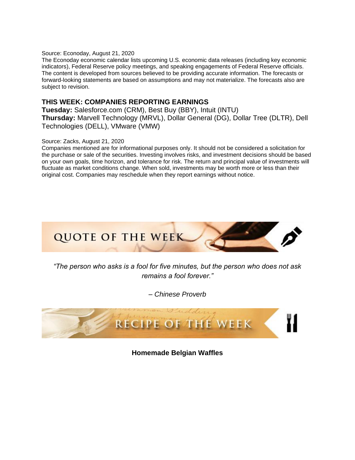#### Source: Econoday, August 21, 2020

The Econoday economic calendar lists upcoming U.S. economic data releases (including key economic indicators), Federal Reserve policy meetings, and speaking engagements of Federal Reserve officials. The content is developed from sources believed to be providing accurate information. The forecasts or forward-looking statements are based on assumptions and may not materialize. The forecasts also are subject to revision.

#### **THIS WEEK: COMPANIES REPORTING EARNINGS**

**Tuesday:** Salesforce.com (CRM), Best Buy (BBY), Intuit (INTU) **Thursday:** Marvell Technology (MRVL), Dollar General (DG), Dollar Tree (DLTR), Dell Technologies (DELL), VMware (VMW)

#### Source: Zacks, August 21, 2020

Companies mentioned are for informational purposes only. It should not be considered a solicitation for the purchase or sale of the securities. Investing involves risks, and investment decisions should be based on your own goals, time horizon, and tolerance for risk. The return and principal value of investments will fluctuate as market conditions change. When sold, investments may be worth more or less than their original cost. Companies may reschedule when they report earnings without notice.



*"The person who asks is a fool for five minutes, but the person who does not ask remains a fool forever."*

*– Chinese Proverb*



**Homemade Belgian Waffles**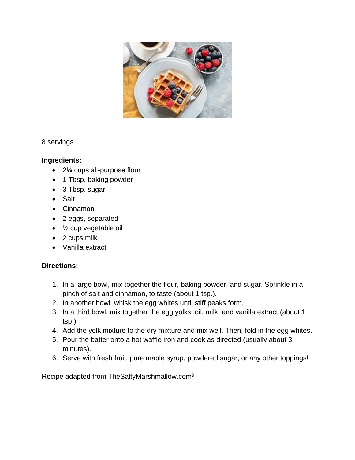

8 servings

# **Ingredients:**

- 2¼ cups all-purpose flour
- 1 Tbsp. baking powder
- 3 Tbsp. sugar
- Salt
- Cinnamon
- 2 eggs, separated
- ½ cup vegetable oil
- 2 cups milk
- Vanilla extract

# **Directions:**

- 1. In a large bowl, mix together the flour, baking powder, and sugar. Sprinkle in a pinch of salt and cinnamon, to taste (about 1 tsp.).
- 2. In another bowl, whisk the egg whites until stiff peaks form.
- 3. In a third bowl, mix together the egg yolks, oil, milk, and vanilla extract (about 1 tsp.).
- 4. Add the yolk mixture to the dry mixture and mix well. Then, fold in the egg whites.
- 5. Pour the batter onto a hot waffle iron and cook as directed (usually about 3 minutes).
- 6. Serve with fresh fruit, pure maple syrup, powdered sugar, or any other toppings!

Recipe adapted from TheSaltyMarshmallow.com9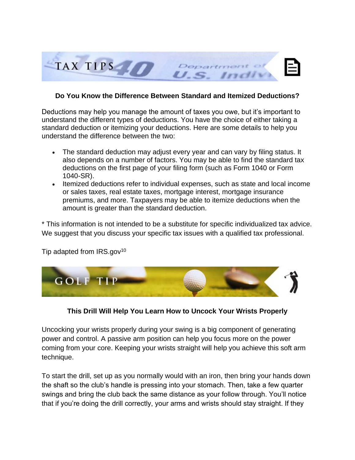

### **Do You Know the Difference Between Standard and Itemized Deductions?**

Deductions may help you manage the amount of taxes you owe, but it's important to understand the different types of deductions. You have the choice of either taking a standard deduction or itemizing your deductions. Here are some details to help you understand the difference between the two:

- The standard deduction may adjust every year and can vary by filing status. It also depends on a number of factors. You may be able to find the standard tax deductions on the first page of your filing form (such as Form 1040 or Form 1040-SR).
- Itemized deductions refer to individual expenses, such as state and local income or sales taxes, real estate taxes, mortgage interest, mortgage insurance premiums, and more. Taxpayers may be able to itemize deductions when the amount is greater than the standard deduction.

\* This information is not intended to be a substitute for specific individualized tax advice. We suggest that you discuss your specific tax issues with a qualified tax professional.

Tip adapted from  $IRS.gov^{10}$ 



# **This Drill Will Help You Learn How to Uncock Your Wrists Properly**

Uncocking your wrists properly during your swing is a big component of generating power and control. A passive arm position can help you focus more on the power coming from your core. Keeping your wrists straight will help you achieve this soft arm technique.

To start the drill, set up as you normally would with an iron, then bring your hands down the shaft so the club's handle is pressing into your stomach. Then, take a few quarter swings and bring the club back the same distance as your follow through. You'll notice that if you're doing the drill correctly, your arms and wrists should stay straight. If they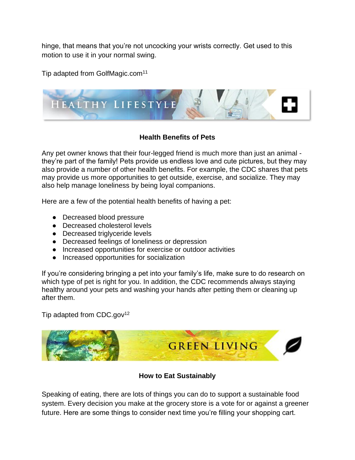hinge, that means that you're not uncocking your wrists correctly. Get used to this motion to use it in your normal swing.

Tip adapted from GolfMagic.com<sup>11</sup>



# **Health Benefits of Pets**

Any pet owner knows that their four-legged friend is much more than just an animal they're part of the family! Pets provide us endless love and cute pictures, but they may also provide a number of other health benefits. For example, the CDC shares that pets may provide us more opportunities to get outside, exercise, and socialize. They may also help manage loneliness by being loyal companions.

Here are a few of the potential health benefits of having a pet:

- Decreased blood pressure
- Decreased cholesterol levels
- Decreased triglyceride levels
- Decreased feelings of loneliness or depression
- Increased opportunities for exercise or outdoor activities
- Increased opportunities for socialization

If you're considering bringing a pet into your family's life, make sure to do research on which type of pet is right for you. In addition, the CDC recommends always staying healthy around your pets and washing your hands after petting them or cleaning up after them.

Tip adapted from CDC.gov<sup>12</sup>



### **How to Eat Sustainably**

Speaking of eating, there are lots of things you can do to support a sustainable food system. Every decision you make at the grocery store is a vote for or against a greener future. Here are some things to consider next time you're filling your shopping cart.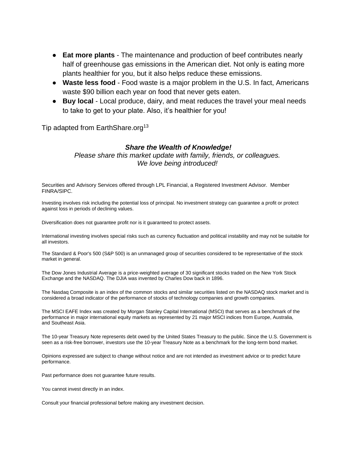- **Eat more plants** The maintenance and production of beef contributes nearly half of greenhouse gas emissions in the American diet. Not only is eating more plants healthier for you, but it also helps reduce these emissions.
- **Waste less food** Food waste is a major problem in the U.S. In fact, Americans waste \$90 billion each year on food that never gets eaten.
- **Buy local** Local produce, dairy, and meat reduces the travel your meal needs to take to get to your plate. Also, it's healthier for you!

Tip adapted from EarthShare.org<sup>13</sup>

#### *Share the Wealth of Knowledge!*

*Please share this market update with family, friends, or colleagues. We love being introduced!*

Securities and Advisory Services offered through LPL Financial, a Registered Investment Advisor. Member FINRA/SIPC.

Investing involves risk including the potential loss of principal. No investment strategy can guarantee a profit or protect against loss in periods of declining values.

Diversification does not guarantee profit nor is it guaranteed to protect assets.

International investing involves special risks such as currency fluctuation and political instability and may not be suitable for all investors.

The Standard & Poor's 500 (S&P 500) is an unmanaged group of securities considered to be representative of the stock market in general.

The Dow Jones Industrial Average is a price-weighted average of 30 significant stocks traded on the New York Stock Exchange and the NASDAQ. The DJIA was invented by Charles Dow back in 1896.

The Nasdaq Composite is an index of the common stocks and similar securities listed on the NASDAQ stock market and is considered a broad indicator of the performance of stocks of technology companies and growth companies.

The MSCI EAFE Index was created by Morgan Stanley Capital International (MSCI) that serves as a benchmark of the performance in major international equity markets as represented by 21 major MSCI indices from Europe, Australia, and Southeast Asia.

The 10-year Treasury Note represents debt owed by the United States Treasury to the public. Since the U.S. Government is seen as a risk-free borrower, investors use the 10-year Treasury Note as a benchmark for the long-term bond market.

Opinions expressed are subject to change without notice and are not intended as investment advice or to predict future performance.

Past performance does not guarantee future results.

You cannot invest directly in an index.

Consult your financial professional before making any investment decision.